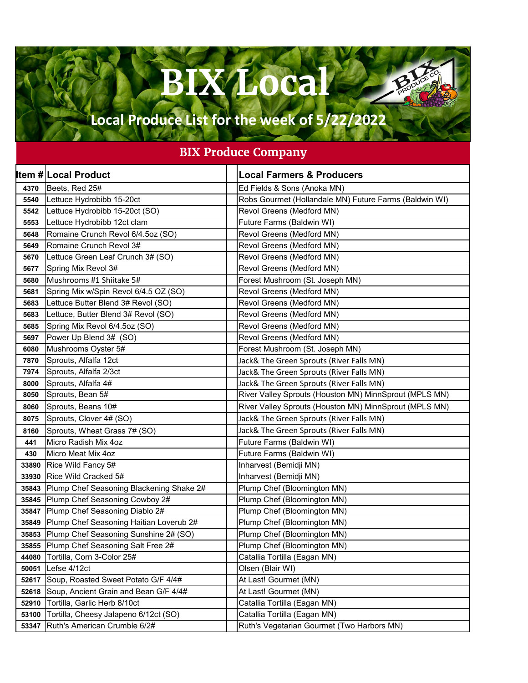## **BIX Local**

**PAN** 

## **Local Produce List for the week of 5/22/2022**

## **BIX Produce Company**

|       | <b>Item # Local Product</b>              | <b>Local Farmers &amp; Producers</b>                   |
|-------|------------------------------------------|--------------------------------------------------------|
| 4370  | Beets, Red 25#                           | Ed Fields & Sons (Anoka MN)                            |
| 5540  | Lettuce Hydrobibb 15-20ct                | Robs Gourmet (Hollandale MN) Future Farms (Baldwin WI) |
| 5542  | Lettuce Hydrobibb 15-20ct (SO)           | Revol Greens (Medford MN)                              |
| 5553  | Lettuce Hydrobibb 12ct clam              | Future Farms (Baldwin WI)                              |
| 5648  | Romaine Crunch Revol 6/4.5oz (SO)        | Revol Greens (Medford MN)                              |
| 5649  | Romaine Crunch Revol 3#                  | Revol Greens (Medford MN)                              |
| 5670  | Lettuce Green Leaf Crunch 3# (SO)        | Revol Greens (Medford MN)                              |
| 5677  | Spring Mix Revol 3#                      | Revol Greens (Medford MN)                              |
| 5680  | Mushrooms #1 Shiitake 5#                 | Forest Mushroom (St. Joseph MN)                        |
| 5681  | Spring Mix w/Spin Revol 6/4.5 OZ (SO)    | Revol Greens (Medford MN)                              |
| 5683  | Lettuce Butter Blend 3# Revol (SO)       | Revol Greens (Medford MN)                              |
| 5683  | Lettuce, Butter Blend 3# Revol (SO)      | Revol Greens (Medford MN)                              |
| 5685  | Spring Mix Revol 6/4.5oz (SO)            | Revol Greens (Medford MN)                              |
| 5697  | Power Up Blend 3# (SO)                   | Revol Greens (Medford MN)                              |
| 6080  | Mushrooms Oyster 5#                      | Forest Mushroom (St. Joseph MN)                        |
| 7870  | Sprouts, Alfalfa 12ct                    | Jack& The Green Sprouts (River Falls MN)               |
| 7974  | Sprouts, Alfalfa 2/3ct                   | Jack& The Green Sprouts (River Falls MN)               |
| 8000  | Sprouts, Alfalfa 4#                      | Jack& The Green Sprouts (River Falls MN)               |
| 8050  | Sprouts, Bean 5#                         | River Valley Sprouts (Houston MN) MinnSprout (MPLS MN) |
| 8060  | Sprouts, Beans 10#                       | River Valley Sprouts (Houston MN) MinnSprout (MPLS MN) |
| 8075  | Sprouts, Clover 4# (SO)                  | Jack& The Green Sprouts (River Falls MN)               |
| 8160  | Sprouts, Wheat Grass 7# (SO)             | Jack& The Green Sprouts (River Falls MN)               |
| 441   | Micro Radish Mix 4oz                     | Future Farms (Baldwin WI)                              |
| 430   | Micro Meat Mix 4oz                       | Future Farms (Baldwin WI)                              |
| 33890 | Rice Wild Fancy 5#                       | Inharvest (Bemidji MN)                                 |
| 33930 | Rice Wild Cracked 5#                     | Inharvest (Bemidji MN)                                 |
| 35843 | Plump Chef Seasoning Blackening Shake 2# | Plump Chef (Bloomington MN)                            |
| 35845 | Plump Chef Seasoning Cowboy 2#           | Plump Chef (Bloomington MN)                            |
| 35847 | Plump Chef Seasoning Diablo 2#           | Plump Chef (Bloomington MN)                            |
| 35849 | Plump Chef Seasoning Haitian Loverub 2#  | Plump Chef (Bloomington MN)                            |
| 35853 | Plump Chef Seasoning Sunshine 2# (SO)    | Plump Chef (Bloomington MN)                            |
| 35855 | Plump Chef Seasoning Salt Free 2#        | Plump Chef (Bloomington MN)                            |
| 44080 | Tortilla, Corn 3-Color 25#               | Catallia Tortilla (Eagan MN)                           |
| 50051 | Lefse 4/12ct                             | Olsen (Blair WI)                                       |
| 52617 | Soup, Roasted Sweet Potato G/F 4/4#      | At Last! Gourmet (MN)                                  |
| 52618 | Soup, Ancient Grain and Bean G/F 4/4#    | At Last! Gourmet (MN)                                  |
| 52910 | Tortilla, Garlic Herb 8/10ct             | Catallia Tortilla (Eagan MN)                           |
| 53100 | Tortilla, Cheesy Jalapeno 6/12ct (SO)    | Catallia Tortilla (Eagan MN)                           |
| 53347 | Ruth's American Crumble 6/2#             | Ruth's Vegetarian Gourmet (Two Harbors MN)             |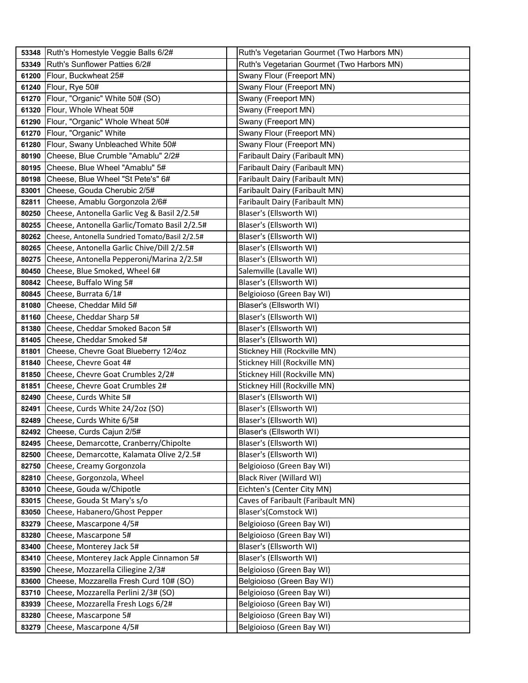| 53348 | Ruth's Homestyle Veggie Balls 6/2#             | Ruth's Vegetarian Gourmet (Two Harbors MN) |
|-------|------------------------------------------------|--------------------------------------------|
| 53349 | Ruth's Sunflower Patties 6/2#                  | Ruth's Vegetarian Gourmet (Two Harbors MN) |
| 61200 | Flour, Buckwheat 25#                           | Swany Flour (Freeport MN)                  |
| 61240 | Flour, Rye 50#                                 | Swany Flour (Freeport MN)                  |
| 61270 | Flour, "Organic" White 50# (SO)                | Swany (Freeport MN)                        |
| 61320 | Flour, Whole Wheat 50#                         | Swany (Freeport MN)                        |
| 61290 | Flour, "Organic" Whole Wheat 50#               | Swany (Freeport MN)                        |
| 61270 | Flour, "Organic" White                         | Swany Flour (Freeport MN)                  |
| 61280 | Flour, Swany Unbleached White 50#              | Swany Flour (Freeport MN)                  |
| 80190 | Cheese, Blue Crumble "Amablu" 2/2#             | Faribault Dairy (Faribault MN)             |
| 80195 | Cheese, Blue Wheel "Amablu" 5#                 | Faribault Dairy (Faribault MN)             |
| 80198 | Cheese, Blue Wheel "St Pete's" 6#              | Faribault Dairy (Faribault MN)             |
| 83001 | Cheese, Gouda Cherubic 2/5#                    | Faribault Dairy (Faribault MN)             |
| 82811 | Cheese, Amablu Gorgonzola 2/6#                 | Faribault Dairy (Faribault MN)             |
| 80250 | Cheese, Antonella Garlic Veg & Basil 2/2.5#    | Blaser's (Ellsworth WI)                    |
| 80255 | Cheese, Antonella Garlic/Tomato Basil 2/2.5#   | Blaser's (Ellsworth WI)                    |
| 80262 | Cheese, Antonella Sundried Tomato/Basil 2/2.5# | Blaser's (Ellsworth WI)                    |
| 80265 | Cheese, Antonella Garlic Chive/Dill 2/2.5#     | Blaser's (Ellsworth WI)                    |
| 80275 | Cheese, Antonella Pepperoni/Marina 2/2.5#      | Blaser's (Ellsworth WI)                    |
| 80450 | Cheese, Blue Smoked, Wheel 6#                  | Salemville (Lavalle WI)                    |
| 80842 | Cheese, Buffalo Wing 5#                        | Blaser's (Ellsworth WI)                    |
| 80845 | Cheese, Burrata 6/1#                           | Belgioioso (Green Bay WI)                  |
| 81080 | Cheese, Cheddar Mild 5#                        | Blaser's (Ellsworth WI)                    |
| 81160 | Cheese, Cheddar Sharp 5#                       | Blaser's (Ellsworth WI)                    |
| 81380 | Cheese, Cheddar Smoked Bacon 5#                | Blaser's (Ellsworth WI)                    |
| 81405 | Cheese, Cheddar Smoked 5#                      | Blaser's (Ellsworth WI)                    |
| 81801 | Cheese, Chevre Goat Blueberry 12/4oz           | Stickney Hill (Rockville MN)               |
| 81840 | Cheese, Chevre Goat 4#                         | Stickney Hill (Rockville MN)               |
| 81850 | Cheese, Chevre Goat Crumbles 2/2#              | Stickney Hill (Rockville MN)               |
| 81851 | Cheese, Chevre Goat Crumbles 2#                | Stickney Hill (Rockville MN)               |
| 82490 | Cheese, Curds White 5#                         | Blaser's (Ellsworth WI)                    |
| 82491 | Cheese, Curds White 24/2oz (SO)                | Blaser's (Ellsworth WI)                    |
| 82489 | Cheese, Curds White 6/5#                       | Blaser's (Ellsworth WI)                    |
| 82492 | Cheese, Curds Cajun 2/5#                       | Blaser's (Ellsworth WI)                    |
| 82495 | Cheese, Demarcotte, Cranberry/Chipolte         | Blaser's (Ellsworth WI)                    |
| 82500 | Cheese, Demarcotte, Kalamata Olive 2/2.5#      | Blaser's (Ellsworth WI)                    |
| 82750 | Cheese, Creamy Gorgonzola                      | Belgioioso (Green Bay WI)                  |
| 82810 | Cheese, Gorgonzola, Wheel                      | <b>Black River (Willard WI)</b>            |
| 83010 | Cheese, Gouda w/Chipotle                       | Eichten's (Center City MN)                 |
| 83015 | Cheese, Gouda St Mary's s/o                    | Caves of Faribault (Faribault MN)          |
| 83050 | Cheese, Habanero/Ghost Pepper                  | Blaser's(Comstock WI)                      |
| 83279 | Cheese, Mascarpone 4/5#                        | Belgioioso (Green Bay WI)                  |
| 83280 | Cheese, Mascarpone 5#                          | Belgioioso (Green Bay WI)                  |
| 83400 | Cheese, Monterey Jack 5#                       | Blaser's (Ellsworth WI)                    |
| 83410 | Cheese, Monterey Jack Apple Cinnamon 5#        | Blaser's (Ellsworth WI)                    |
| 83590 | Cheese, Mozzarella Ciliegine 2/3#              | Belgioioso (Green Bay WI)                  |
| 83600 | Cheese, Mozzarella Fresh Curd 10# (SO)         | Belgioioso (Green Bay WI)                  |
| 83710 | Cheese, Mozzarella Perlini 2/3# (SO)           | Belgioioso (Green Bay WI)                  |
| 83939 | Cheese, Mozzarella Fresh Logs 6/2#             | Belgioioso (Green Bay WI)                  |
| 83280 | Cheese, Mascarpone 5#                          | Belgioioso (Green Bay WI)                  |
| 83279 | Cheese, Mascarpone 4/5#                        | Belgioioso (Green Bay WI)                  |